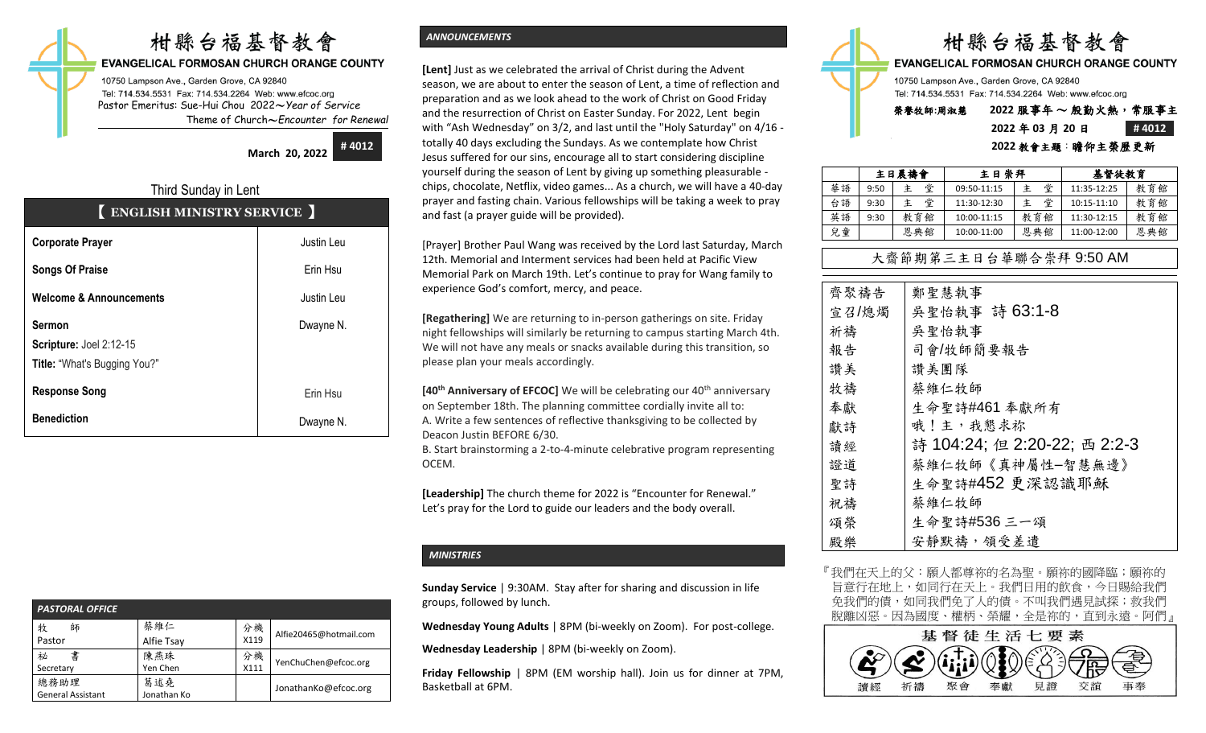# 柑縣台福基督教會

#### EVANGELICAL FORMOSAN CHURCH ORANGE COUNTY

10750 Lampson Ave., Garden Grove, CA 92840 Tel: 714.534.5531 Fax: 714.534.2264 Web: www.efcoc.org Pastor Emeritus: Sue-Hui Chou 2022〜*Year of Service* Theme of Church〜*Encounter for Renewal*

> **March 20, 2022 # 4012**

# Third Sunday in Lent 【 **ENGLISH MINISTRY SERVICE** 】

| <b>Corporate Prayer</b>                                                         | Justin Leu |
|---------------------------------------------------------------------------------|------------|
| <b>Songs Of Praise</b>                                                          | Erin Hsu   |
| <b>Welcome &amp; Announcements</b>                                              | Justin Leu |
| <b>Sermon</b><br>Scripture: Joel 2:12-15<br><b>Title: "What's Bugging You?"</b> | Dwayne N.  |
| <b>Response Song</b>                                                            | Erin Hsu   |
| <b>Benediction</b>                                                              | Dwayne N.  |

| <b>PASTORAL OFFICE</b>           |                    |            |                        |  |  |  |  |
|----------------------------------|--------------------|------------|------------------------|--|--|--|--|
| 牧<br>師<br>Pastor                 | 蔡維仁<br>Alfie Tsay  | 分機<br>X119 | Alfie20465@hotmail.com |  |  |  |  |
| 書<br>祕<br>Secretary              | 陳燕珠<br>Yen Chen    | 分機<br>X111 | YenChuChen@efcoc.org   |  |  |  |  |
| 總務助理<br><b>General Assistant</b> | 葛述堯<br>Jonathan Ko |            | JonathanKo@efcoc.org   |  |  |  |  |

# *ANNOUNCEMENTS*

**[Lent]** Just as we celebrated the arrival of Christ during the Advent season, we are about to enter the season of Lent, a time of reflection and preparation and as we look ahead to the work of Christ on Good Friday and the resurrection of Christ on Easter Sunday. For 2022, Lent begin with "Ash Wednesday" on 3/2, and last until the "Holy Saturday" on 4/16 totally 40 days excluding the Sundays. As we contemplate how Christ Jesus suffered for our sins, encourage all to start considering discipline yourself during the season of Lent by giving up something pleasurable chips, chocolate, Netflix, video games... As a church, we will have a 40-day prayer and fasting chain. Various fellowships will be taking a week to pray and fast (a prayer guide will be provided).

[Prayer] Brother Paul Wang was received by the Lord last Saturday, March 12th. Memorial and Interment services had been held at Pacific View Memorial Park on March 19th. Let's continue to pray for Wang family to experience God's comfort, mercy, and peace.

**[Regathering]** We are returning to in-person gatherings on site. Friday night fellowships will similarly be returning to campus starting March 4th. We will not have any meals or snacks available during this transition, so please plan your meals accordingly.

**[40<sup>th</sup> Anniversary of EFCOC]** We will be celebrating our 40<sup>th</sup> anniversary on September 18th. The planning committee cordially invite all to: A. Write a few sentences of reflective thanksgiving to be collected by Deacon Justin BEFORE 6/30.

B. Start brainstorming a 2-to-4-minute celebrative program representing OCEM.

**[Leadership]** The church theme for 2022 is "Encounter for Renewal." Let's pray for the Lord to guide our leaders and the body overall.

## *MINISTRIES*

**Sunday Service** | 9:30AM. Stay after for sharing and discussion in life groups, followed by lunch.

**Wednesday Young Adults** | 8PM (bi-weekly on Zoom). For post-college.

**Wednesday Leadership** | 8PM (bi-weekly on Zoom).

**Friday Fellowship** | 8PM (EM worship hall). Join us for dinner at 7PM, Basketball at 6PM.



**EVANGELICAL FORMOSAN CHURCH ORANGE COUNTY** 

10750 Lampson Ave., Garden Grove, CA 92840 Tel: 714.534.5531 Fax: 714.534.2264 Web: www.efcoc.org

# 榮譽牧師**:**周淑慧 **2022** 服事年 〜 殷勤火熱,常服事主 **2022** 年 **03** 月 **20** 日 **# 4012**

### **2022** 教會主題:瞻仰主榮歷更新

|    | 主日晨禱會 |        | 主日崇拜        |     | 基督徒教育       |     |
|----|-------|--------|-------------|-----|-------------|-----|
| 華語 | 9:50  | 堂<br>主 | 09:50-11:15 | 堂   | 11:35-12:25 | 教育館 |
| 台語 | 9:30  | 堂      | 11:30-12:30 | 堂   | 10:15-11:10 | 教育館 |
| 英語 | 9:30  | 教育館    | 10:00-11:15 | 教育館 | 11:30-12:15 | 教育館 |
| 兒童 |       | 恩典館    | 10:00-11:00 | 恩典館 | 11:00-12:00 | 恩典館 |

# 大齋節期第三主日台華聯合崇拜 9:50 AM

| 齊聚禱告  | 鄭聖慧執事                        |
|-------|------------------------------|
| 宣召/熄燭 | 吳聖怡執事 詩 63:1-8               |
| 祈禱    | 吳聖怡執事                        |
| 報告    | 司會/牧師簡要報告                    |
| 讚美    | 讚美團隊                         |
| 牧禱    | 蔡維仁牧師                        |
| 奉獻    | 生命聖詩#461 奉獻所有                |
| 獻詩    | 哦!主,我懇求祢                     |
| 讀經    | 詩 104:24; 但 2:20-22; 西 2:2-3 |
| 證道    | 蔡維仁牧師《真神屬性-智慧無邊》             |
| 聖詩    | 生命聖詩#452 更深認識耶穌              |
| 祝禱    | 蔡維仁牧師                        |
| 頌榮    | 生命聖詩#536 三一頌                 |
| 殿樂    | 安靜默禱,領受差遣                    |

『我們在天上的父:願人都尊祢的名為聖。願祢的國降臨;願祢的 旨意行在地上,如同行在天上。我們日用的飲食,今日賜給我們 免我們的債,如同我們免了人的債。不叫我們遇見試探;救我們 脫離凶惡。因為國度、權柄、榮耀,全是祢的,直到永遠。阿們